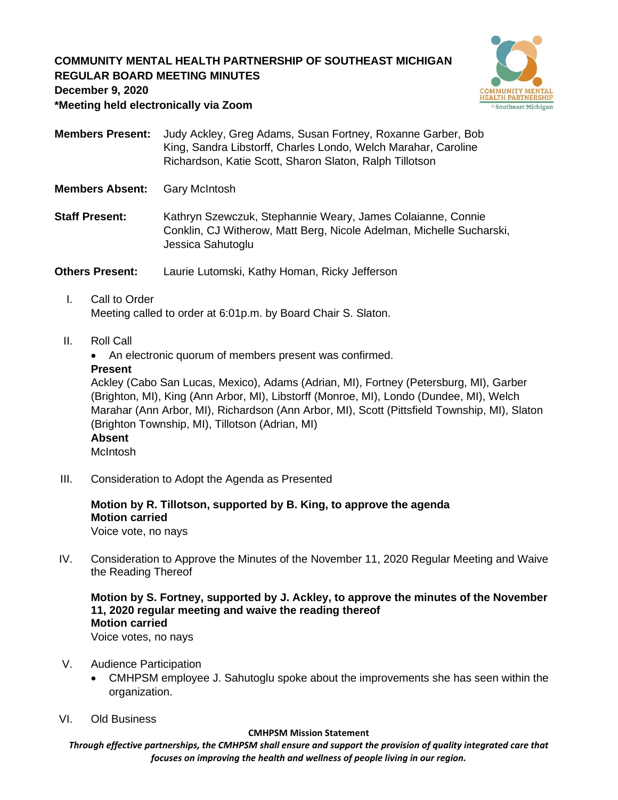## **COMMUNITY MENTAL HEALTH PARTNERSHIP OF SOUTHEAST MICHIGAN REGULAR BOARD MEETING MINUTES**



**December 9, 2020**

**\*Meeting held electronically via Zoom**

- **Members Present:** Judy Ackley, Greg Adams, Susan Fortney, Roxanne Garber, Bob King, Sandra Libstorff, Charles Londo, Welch Marahar, Caroline Richardson, Katie Scott, Sharon Slaton, Ralph Tillotson
- **Members Absent:** Gary McIntosh
- **Staff Present:** Kathryn Szewczuk, Stephannie Weary, James Colaianne, Connie Conklin, CJ Witherow, Matt Berg, Nicole Adelman, Michelle Sucharski, Jessica Sahutoglu

**Others Present:** Laurie Lutomski, Kathy Homan, Ricky Jefferson

- I. Call to Order Meeting called to order at 6:01p.m. by Board Chair S. Slaton.
- II. Roll Call
	- An electronic quorum of members present was confirmed.

#### **Present**

Ackley (Cabo San Lucas, Mexico), Adams (Adrian, MI), Fortney (Petersburg, MI), Garber (Brighton, MI), King (Ann Arbor, MI), Libstorff (Monroe, MI), Londo (Dundee, MI), Welch Marahar (Ann Arbor, MI), Richardson (Ann Arbor, MI), Scott (Pittsfield Township, MI), Slaton (Brighton Township, MI), Tillotson (Adrian, MI) **Absent**

McIntosh

III. Consideration to Adopt the Agenda as Presented

# **Motion by R. Tillotson, supported by B. King, to approve the agenda Motion carried**

Voice vote, no nays

IV. Consideration to Approve the Minutes of the November 11, 2020 Regular Meeting and Waive the Reading Thereof

**Motion by S. Fortney, supported by J. Ackley, to approve the minutes of the November 11, 2020 regular meeting and waive the reading thereof Motion carried**

Voice votes, no nays

- V. Audience Participation
	- CMHPSM employee J. Sahutoglu spoke about the improvements she has seen within the organization.
- VI. Old Business

#### **CMHPSM Mission Statement**

*Through effective partnerships, the CMHPSM shall ensure and support the provision of quality integrated care that focuses on improving the health and wellness of people living in our region.*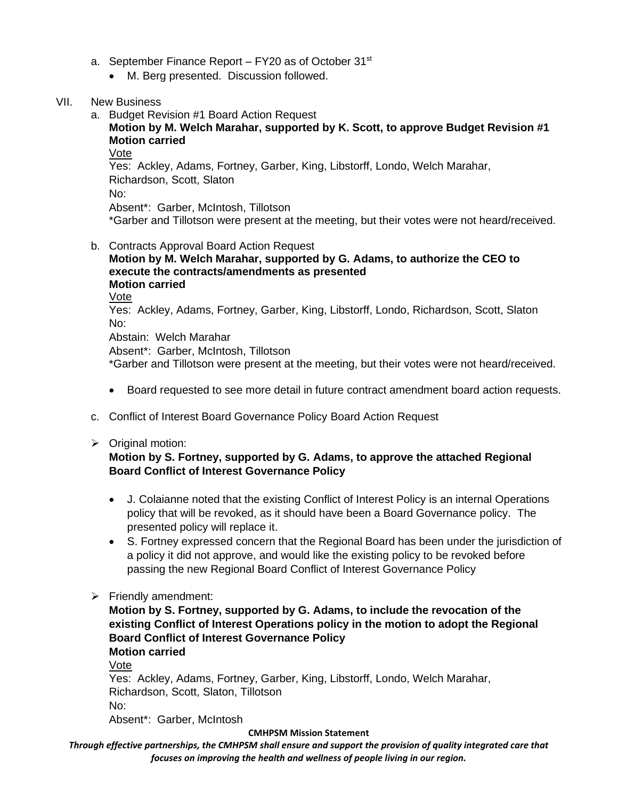- a. September Finance Report  $-$  FY20 as of October 31 $st$ 
	- M. Berg presented. Discussion followed.
- VII. New Business
	- a. Budget Revision #1 Board Action Request

## **Motion by M. Welch Marahar, supported by K. Scott, to approve Budget Revision #1 Motion carried**

Vote

Yes: Ackley, Adams, Fortney, Garber, King, Libstorff, Londo, Welch Marahar, Richardson, Scott, Slaton No:

Absent\*: Garber, McIntosh, Tillotson

\*Garber and Tillotson were present at the meeting, but their votes were not heard/received.

b. Contracts Approval Board Action Request **Motion by M. Welch Marahar, supported by G. Adams, to authorize the CEO to execute the contracts/amendments as presented Motion carried** Vote Yes: Ackley, Adams, Fortney, Garber, King, Libstorff, Londo, Richardson, Scott, Slaton No: Abstain: Welch Marahar

Absent\*: Garber, McIntosh, Tillotson \*Garber and Tillotson were present at the meeting, but their votes were not heard/received.

- Board requested to see more detail in future contract amendment board action requests.
- c. Conflict of Interest Board Governance Policy Board Action Request
- ➢ Original motion:

### **Motion by S. Fortney, supported by G. Adams, to approve the attached Regional Board Conflict of Interest Governance Policy**

- J. Colaianne noted that the existing Conflict of Interest Policy is an internal Operations policy that will be revoked, as it should have been a Board Governance policy. The presented policy will replace it.
- S. Fortney expressed concern that the Regional Board has been under the jurisdiction of a policy it did not approve, and would like the existing policy to be revoked before passing the new Regional Board Conflict of Interest Governance Policy
- ➢ Friendly amendment:

**Motion by S. Fortney, supported by G. Adams, to include the revocation of the existing Conflict of Interest Operations policy in the motion to adopt the Regional Board Conflict of Interest Governance Policy Motion carried**

Vote

Yes: Ackley, Adams, Fortney, Garber, King, Libstorff, Londo, Welch Marahar, Richardson, Scott, Slaton, Tillotson No: Absent\*: Garber, McIntosh

#### **CMHPSM Mission Statement**

*Through effective partnerships, the CMHPSM shall ensure and support the provision of quality integrated care that focuses on improving the health and wellness of people living in our region.*